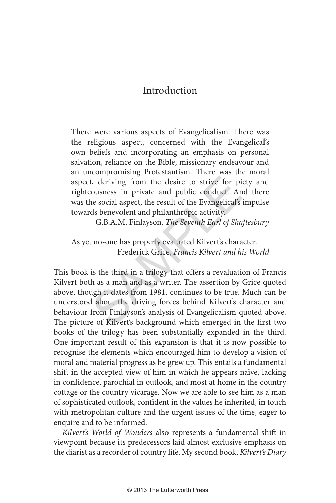## Introduction

There were various aspects of Evangelicalism. There was the religious aspect, concerned with the Evangelical's own beliefs and incorporating an emphasis on personal salvation, reliance on the Bible, missionary endeavour and an uncompromising Protestantism. There was the moral aspect, deriving from the desire to strive for piety and righteousness in private and public conduct. And there was the social aspect, the result of the Evangelical's impulse towards benevolent and philanthropic activity.

G.B.A.M. Finlayson, *The Seventh Earl of Shaftesbury*

As yet no-one has properly evaluated Kilvert's character. Frederick Grice, *Francis Kilvert and his World*

t, deriving from the desire to strive for pi<br>ousness in private and public conduct. An<br>ne social aspect, the result of the Evangelical's<br>ds benevolent and philanthropic activity.<br>G.B.A.M. Finlayson, *The Seventh Earl of Sh* This book is the third in a trilogy that offers a revaluation of Francis Kilvert both as a man and as a writer. The assertion by Grice quoted above, though it dates from 1981, continues to be true. Much can be understood about the driving forces behind Kilvert's character and behaviour from Finlayson's analysis of Evangelicalism quoted above. The picture of Kilvert's background which emerged in the first two books of the trilogy has been substantially expanded in the third. One important result of this expansion is that it is now possible to recognise the elements which encouraged him to develop a vision of moral and material progress as he grew up. This entails a fundamental shift in the accepted view of him in which he appears naïve, lacking in confidence, parochial in outlook, and most at home in the country cottage or the country vicarage. Now we are able to see him as a man of sophisticated outlook, confident in the values he inherited, in touch with metropolitan culture and the urgent issues of the time, eager to enquire and to be informed.

*Kilvert's World of Wonders* also represents a fundamental shift in viewpoint because its predecessors laid almost exclusive emphasis on the diarist as a recorder of country life. My second book, *Kilvert's Diary*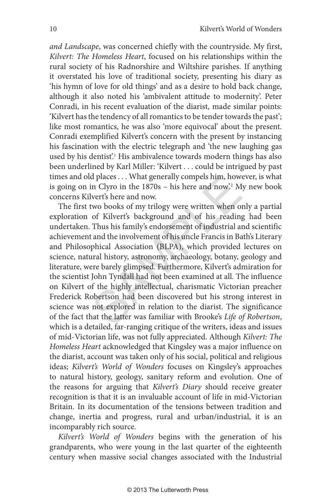*and Landscape*, was concerned chiefly with the countryside. My first, *Kilvert: The Homeless Heart*, focused on his relationships within the rural society of his Radnorshire and Wiltshire parishes. If anything it overstated his love of traditional society, presenting his diary as 'his hymn of love for old things' and as a desire to hold back change, although it also noted his 'ambivalent attitude to modernity'. Peter Conradi, in his recent evaluation of the diarist, made similar points: 'Kilvert has the tendency of all romantics to be tender towards the past'; like most romantics, he was also 'more equivocal' about the present. Conradi exemplified Kilvert's concern with the present by instancing his fascination with the electric telegraph and 'the new laughing gas used by his dentist'. 1 His ambivalence towards modern things has also been underlined by Karl Miller: 'Kilvert . . . could be intrigued by past times and old places . . . What generally compels him, however, is what is going on in Clyro in the 1870s – his here and now'.<sup>2</sup> My new book concerns Kilvert's here and now.

d places ... What generally compels him, however<br>in Clyro in the 1870s – his here and now'.<sup>2</sup> M<br>vert's here and now.<br>two books of my trilogy were written when on<br>of Kilvert's background and of his reading<br>Thus his family The first two books of my trilogy were written when only a partial exploration of Kilvert's background and of his reading had been undertaken. Thus his family's endorsement of industrial and scientific achievement and the involvement of his uncle Francis in Bath's Literary and Philosophical Association (BLPA), which provided lectures on science, natural history, astronomy, archaeology, botany, geology and literature, were barely glimpsed. Furthermore, Kilvert's admiration for the scientist John Tyndall had not been examined at all. The influence on Kilvert of the highly intellectual, charismatic Victorian preacher Frederick Robertson had been discovered but his strong interest in science was not explored in relation to the diarist. The significance of the fact that the latter was familiar with Brooke's *Life of Robertson*, which is a detailed, far-ranging critique of the writers, ideas and issues of mid-Victorian life, was not fully appreciated. Although *Kilvert: The Homeless Heart* acknowledged that Kingsley was a major influence on the diarist, account was taken only of his social, political and religious ideas; *Kilvert's World of Wonders* focuses on Kingsley's approaches to natural history, geology, sanitary reform and evolution. One of the reasons for arguing that *Kilvert's Diary* should receive greater recognition is that it is an invaluable account of life in mid-Victorian Britain. In its documentation of the tensions between tradition and change, inertia and progress, rural and urban/industrial, it is an incomparably rich source.

*Kilvert's World of Wonders* begins with the generation of his grandparents, who were young in the last quarter of the eighteenth century when massive social changes associated with the Industrial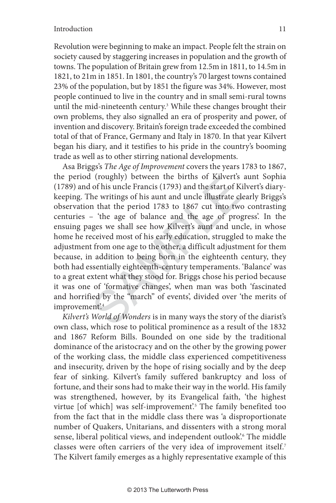## Introduction 11

Revolution were beginning to make an impact. People felt the strain on society caused by staggering increases in population and the growth of towns. The population of Britain grew from 12.5m in 1811, to 14.5m in 1821, to 21m in 1851. In 1801, the country's 70 largest towns contained 23% of the population, but by 1851 the figure was 34%. However, most people continued to live in the country and in small semi-rural towns until the mid-nineteenth century. 3 While these changes brought their own problems, they also signalled an era of prosperity and power, of invention and discovery. Britain's foreign trade exceeded the combined total of that of France, Germany and Italy in 1870. In that year Kilvert began his diary, and it testifies to his pride in the country's booming trade as well as to other stirring national developments.

(roughly) between the births of Kilverts<br>of his uncle Francis (1793) and the start of Ki<br>he writings of his aunt and uncle illustrate cl<br>n that the period 1783 to 1867 cut into two<br>- 'the age of balance and the age of pro Asa Briggs's *The Age of Improvement* covers the years 1783 to 1867, the period (roughly) between the births of Kilvert's aunt Sophia (1789) and of his uncle Francis (1793) and the start of Kilvert's diarykeeping. The writings of his aunt and uncle illustrate clearly Briggs's observation that the period 1783 to 1867 cut into two contrasting centuries – 'the age of balance and the age of progress'. In the ensuing pages we shall see how Kilvert's aunt and uncle, in whose home he received most of his early education, struggled to make the adjustment from one age to the other, a difficult adjustment for them because, in addition to being born in the eighteenth century, they both had essentially eighteenth-century temperaments. 'Balance' was to a great extent what they stood for. Briggs chose his period because it was one of 'formative changes', when man was both 'fascinated and horrified by the "march" of events', divided over 'the merits of improvement'. 4

*Kilvert's World of Wonders* is in many ways the story of the diarist's own class, which rose to political prominence as a result of the 1832 and 1867 Reform Bills. Bounded on one side by the traditional dominance of the aristocracy and on the other by the growing power of the working class, the middle class experienced competitiveness and insecurity, driven by the hope of rising socially and by the deep fear of sinking. Kilvert's family suffered bankruptcy and loss of fortune, and their sons had to make their way in the world. His family was strengthened, however, by its Evangelical faith, 'the highest virtue [of which] was self-improvement'.<sup>5</sup> The family benefited too from the fact that in the middle class there was 'a disproportionate number of Quakers, Unitarians, and dissenters with a strong moral sense, liberal political views, and independent outlook'.<sup>6</sup> The middle classes were often carriers of the very idea of improvement itself. 7 The Kilvert family emerges as a highly representative example of this